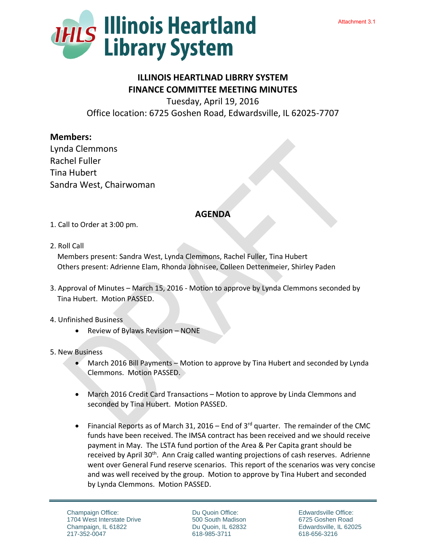

## **ILLINOIS HEARTLNAD LIBRRY SYSTEM FINANCE COMMITTEE MEETING MINUTES**

Tuesday, April 19, 2016 Office location: 6725 Goshen Road, Edwardsville, IL 62025-7707

## **Members:**

Lynda Clemmons Rachel Fuller Tina Hubert Sandra West, Chairwoman

## **AGENDA**

- 1. Call to Order at 3:00 pm.
- 2. Roll Call

 Members present: Sandra West, Lynda Clemmons, Rachel Fuller, Tina Hubert Others present: Adrienne Elam, Rhonda Johnisee, Colleen Dettenmeier, Shirley Paden

3. Approval of Minutes – March 15, 2016 - Motion to approve by Lynda Clemmons seconded by Tina Hubert. Motion PASSED.

## 4. Unfinished Business

- $\bullet$  Review of Bylaws Revision NONE
- 5. New Business
	- March 2016 Bill Payments Motion to approve by Tina Hubert and seconded by Lynda Clemmons. Motion PASSED.
	- March 2016 Credit Card Transactions Motion to approve by Linda Clemmons and seconded by Tina Hubert. Motion PASSED.
	- Financial Reports as of March 31, 2016 End of  $3<sup>rd</sup>$  quarter. The remainder of the CMC funds have been received. The IMSA contract has been received and we should receive payment in May. The LSTA fund portion of the Area & Per Capita grant should be received by April 30<sup>th</sup>. Ann Craig called wanting projections of cash reserves. Adrienne went over General Fund reserve scenarios. This report of the scenarios was very concise and was well received by the group. Motion to approve by Tina Hubert and seconded by Lynda Clemmons. Motion PASSED.

Du Quoin Office: 500 South Madison Du Quoin, IL 62832 618-985-3711

Edwardsville Office: 6725 Goshen Road Edwardsville, IL 62025 618-656-3216